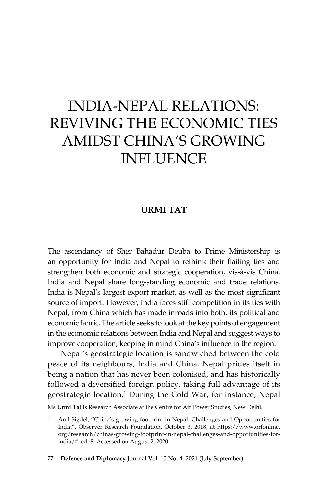# India-Nepal Relations: Reviving the Economic Ties Amidst China's Growing **INFLUENCE**

#### **URMI TAT**

The ascendancy of Sher Bahadur Deuba to Prime Ministership is an opportunity for India and Nepal to rethink their flailing ties and strengthen both economic and strategic cooperation, vis-à-vis China. India and Nepal share long-standing economic and trade relations. India is Nepal's largest export market, as well as the most significant source of import. However, India faces stiff competition in its ties with Nepal, from China which has made inroads into both, its political and economic fabric. The article seeks to look at the key points of engagement in the economic relations between India and Nepal and suggest ways to improve cooperation, keeping in mind China's influence in the region.

Nepal's geostrategic location is sandwiched between the cold peace of its neighbours, India and China. Nepal prides itself in being a nation that has never been colonised, and has historically followed a diversified foreign policy, taking full advantage of its geostrategic location.<sup>1</sup> During the Cold War, for instance, Nepal

Ms **Urmi Tat** is Research Associate at the Centre for Air Power Studies, New Delhi.

<sup>1.</sup> Anil Sigdel, "China's growing footprint in Nepal: Challenges and Opportunities for India", Observer Research Foundation, October 3, 2018, at https://www.orfonline. org/research/chinas-growing-footprint-in-nepal-challenges-and-opportunities-forindia/#\_edn8. Accessed on August 2, 2020.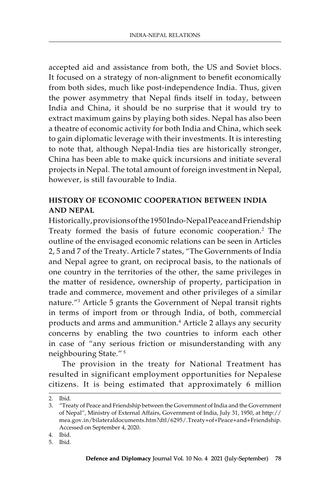accepted aid and assistance from both, the US and Soviet blocs. It focused on a strategy of non-alignment to benefit economically from both sides, much like post-independence India. Thus, given the power asymmetry that Nepal finds itself in today, between India and China, it should be no surprise that it would try to extract maximum gains by playing both sides. Nepal has also been a theatre of economic activity for both India and China, which seek to gain diplomatic leverage with their investments. It is interesting to note that, although Nepal-India ties are historically stronger, China has been able to make quick incursions and initiate several projects in Nepal. The total amount of foreign investment in Nepal, however, is still favourable to India.

## **History of Economic Cooperation between India and Nepal**

Historically, provisions of the 1950 Indo-Nepal Peace and Friendship Treaty formed the basis of future economic cooperation.<sup>2</sup> The outline of the envisaged economic relations can be seen in Articles 2, 5 and 7 of the Treaty. Article 7 states, "The Governments of India and Nepal agree to grant, on reciprocal basis, to the nationals of one country in the territories of the other, the same privileges in the matter of residence, ownership of property, participation in trade and commerce, movement and other privileges of a similar nature."<sup>3</sup> Article 5 grants the Government of Nepal transit rights in terms of import from or through India, of both, commercial products and arms and ammunition.4 Article 2 allays any security concerns by enabling the two countries to inform each other in case of "any serious friction or misunderstanding with any neighbouring State." 5

The provision in the treaty for National Treatment has resulted in significant employment opportunities for Nepalese citizens. It is being estimated that approximately 6 million

<sup>2.</sup> Ibid.

<sup>3.</sup> "Treaty of Peace and Friendship between the Government of India and the Government of Nepal", Ministry of External Affairs, Government of India, July 31, 1950, at http:// mea.gov.in/bilateraldocuments.htm?dtl/6295/.Treaty+of+Peace+and+Friendship. Accessed on September 4, 2020.

<sup>4.</sup> Ibid.

<sup>5.</sup> Ibid.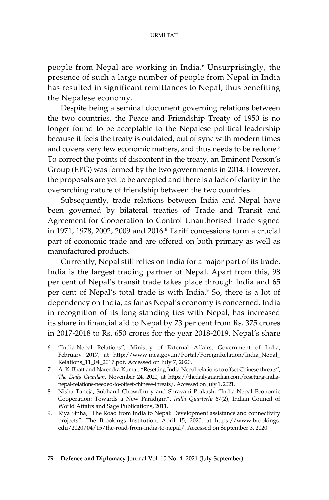people from Nepal are working in India.6 Unsurprisingly, the presence of such a large number of people from Nepal in India has resulted in significant remittances to Nepal, thus benefiting the Nepalese economy.

Despite being a seminal document governing relations between the two countries, the Peace and Friendship Treaty of 1950 is no longer found to be acceptable to the Nepalese political leadership because it feels the treaty is outdated, out of sync with modern times and covers very few economic matters, and thus needs to be redone.<sup>7</sup> To correct the points of discontent in the treaty, an Eminent Person's Group (EPG) was formed by the two governments in 2014. However, the proposals are yet to be accepted and there is a lack of clarity in the overarching nature of friendship between the two countries.

Subsequently, trade relations between India and Nepal have been governed by bilateral treaties of Trade and Transit and Agreement for Cooperation to Control Unauthorised Trade signed in 1971, 1978, 2002, 2009 and 2016.8 Tariff concessions form a crucial part of economic trade and are offered on both primary as well as manufactured products.

Currently, Nepal still relies on India for a major part of its trade. India is the largest trading partner of Nepal. Apart from this, 98 per cent of Nepal's transit trade takes place through India and 65 per cent of Nepal's total trade is with India.<sup>9</sup> So, there is a lot of dependency on India, as far as Nepal's economy is concerned. India in recognition of its long-standing ties with Nepal, has increased its share in financial aid to Nepal by 73 per cent from Rs. 375 crores in 2017-2018 to Rs. 650 crores for the year 2018-2019. Nepal's share

9. Riya Sinha, "The Road from India to Nepal: Development assistance and connectivity projects", The Brookings Institution, April 15, 2020, at https://www.brookings. edu/2020/04/15/the-road-from-india-to-nepal/. Accessed on September 3, 2020.

<sup>6.</sup> "India-Nepal Relations", Ministry of External Affairs, Government of India, February 2017, at http://www.mea.gov.in/Portal/ForeignRelation/India\_Nepal\_ Relations\_11\_04\_2017.pdf. Accessed on July 7, 2020.

<sup>7.</sup> A. K. Bhatt and Narendra Kumar, "Resetting India-Nepal relations to offset Chinese threats", *The Daily Guardian*, November 24, 2020, at https://thedailyguardian.com/resetting-indianepal-relations-needed-to-offset-chinese-threats/. Accessed on July 1, 2021.

<sup>8.</sup> Nisha Taneja, Subhanil Chowdhury and Shravani Prakash, "India-Nepal Economic Cooperation: Towards a New Paradigm", *India Quarterly* 67(2), Indian Council of World Affairs and Sage Publications, 2011.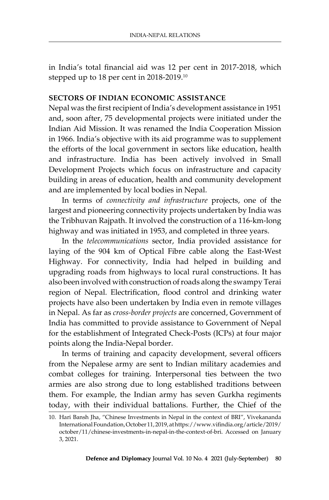in India's total financial aid was 12 per cent in 2017-2018, which stepped up to 18 per cent in 2018-2019.<sup>10</sup>

#### **Sectors of Indian Economic Assistance**

Nepal was the first recipient of India's development assistance in 1951 and, soon after, 75 developmental projects were initiated under the Indian Aid Mission. It was renamed the India Cooperation Mission in 1966. India's objective with its aid programme was to supplement the efforts of the local government in sectors like education, health and infrastructure. India has been actively involved in Small Development Projects which focus on infrastructure and capacity building in areas of education, health and community development and are implemented by local bodies in Nepal.

In terms of *connectivity and infrastructure* projects, one of the largest and pioneering connectivity projects undertaken by India was the Tribhuvan Rajpath. It involved the construction of a 116-km-long highway and was initiated in 1953, and completed in three years.

In the *telecommunications* sector, India provided assistance for laying of the 904 km of Optical Fibre cable along the East-West Highway. For connectivity, India had helped in building and upgrading roads from highways to local rural constructions. It has also been involved with construction of roads along the swampy Terai region of Nepal. Electrification, flood control and drinking water projects have also been undertaken by India even in remote villages in Nepal. As far as *cross-border projects* are concerned, Government of India has committed to provide assistance to Government of Nepal for the establishment of Integrated Check-Posts (ICPs) at four major points along the India-Nepal border.

In terms of training and capacity development, several officers from the Nepalese army are sent to Indian military academies and combat colleges for training. Interpersonal ties between the two armies are also strong due to long established traditions between them. For example, the Indian army has seven Gurkha regiments today, with their individual battalions. Further, the Chief of the

<sup>10.</sup> Hari Bansh Jha, "Chinese Investments in Nepal in the context of BRI", Vivekananda International Foundation, October 11, 2019, at https://www.vifindia.org/article/2019/ october/11/chinese-investments-in-nepal-in-the-context-of-bri. Accessed on January 3, 2021.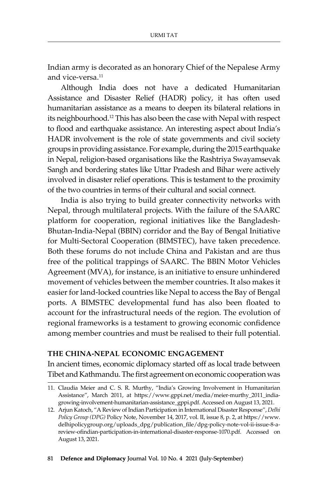Indian army is decorated as an honorary Chief of the Nepalese Army and vice-versa.<sup>11</sup>

Although India does not have a dedicated Humanitarian Assistance and Disaster Relief (HADR) policy, it has often used humanitarian assistance as a means to deepen its bilateral relations in its neighbourhood.<sup>12</sup> This has also been the case with Nepal with respect to flood and earthquake assistance. An interesting aspect about India's HADR involvement is the role of state governments and civil society groups in providing assistance. For example, during the 2015 earthquake in Nepal, religion-based organisations like the Rashtriya Swayamsevak Sangh and bordering states like Uttar Pradesh and Bihar were actively involved in disaster relief operations. This is testament to the proximity of the two countries in terms of their cultural and social connect.

India is also trying to build greater connectivity networks with Nepal, through multilateral projects. With the failure of the SAARC platform for cooperation, regional initiatives like the Bangladesh-Bhutan-India-Nepal (BBIN) corridor and the Bay of Bengal Initiative for Multi-Sectoral Cooperation (BIMSTEC), have taken precedence. Both these forums do not include China and Pakistan and are thus free of the political trappings of SAARC. The BBIN Motor Vehicles Agreement (MVA), for instance, is an initiative to ensure unhindered movement of vehicles between the member countries. It also makes it easier for land-locked countries like Nepal to access the Bay of Bengal ports. A BIMSTEC developmental fund has also been floated to account for the infrastructural needs of the region. The evolution of regional frameworks is a testament to growing economic confidence among member countries and must be realised to their full potential.

#### **The China-Nepal Economic Engagement**

In ancient times, economic diplomacy started off as local trade between Tibet and Kathmandu. The first agreement on economic cooperation was

<sup>11.</sup> Claudia Meier and C. S. R. Murthy, "India's Growing Involvement in Humanitarian Assistance", March 2011, at https://www.gppi.net/media/meier-murthy\_2011\_indiagrowing-involvement-humanitarian-assistance\_gppi.pdf. Accessed on August 13, 2021.

<sup>12.</sup> Arjun Katoch, "A Review of Indian Participation in International Disaster Response", *Delhi Policy Group (DPG)* Policy Note, November 14, 2017, vol. II, issue 8, p. 2, at https://www. delhipolicygroup.org/uploads\_dpg/publication\_file/dpg-policy-note-vol-ii-issue-8-areview-ofindian-participation-in-international-disaster-response-1070.pdf. Accessed on August 13, 2021.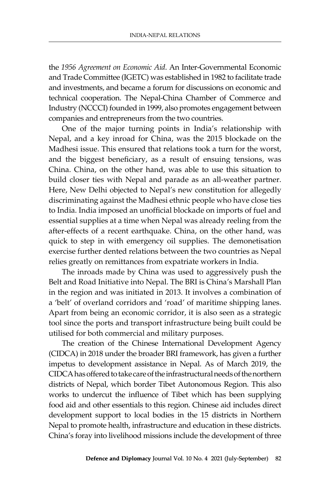the *1956 Agreement on Economic Aid*. An Inter-Governmental Economic and Trade Committee (IGETC) was established in 1982 to facilitate trade and investments, and became a forum for discussions on economic and technical cooperation. The Nepal-China Chamber of Commerce and Industry (NCCCI) founded in 1999, also promotes engagement between companies and entrepreneurs from the two countries.

One of the major turning points in India's relationship with Nepal, and a key inroad for China, was the 2015 blockade on the Madhesi issue. This ensured that relations took a turn for the worst, and the biggest beneficiary, as a result of ensuing tensions, was China. China, on the other hand, was able to use this situation to build closer ties with Nepal and parade as an all-weather partner. Here, New Delhi objected to Nepal's new constitution for allegedly discriminating against the Madhesi ethnic people who have close ties to India. India imposed an unofficial blockade on imports of fuel and essential supplies at a time when Nepal was already reeling from the after-effects of a recent earthquake. China, on the other hand, was quick to step in with emergency oil supplies. The demonetisation exercise further dented relations between the two countries as Nepal relies greatly on remittances from expatriate workers in India.

The inroads made by China was used to aggressively push the Belt and Road Initiative into Nepal. The BRI is China's Marshall Plan in the region and was initiated in 2013. It involves a combination of a 'belt' of overland corridors and 'road' of maritime shipping lanes. Apart from being an economic corridor, it is also seen as a strategic tool since the ports and transport infrastructure being built could be utilised for both commercial and military purposes.

The creation of the Chinese International Development Agency (CIDCA) in 2018 under the broader BRI framework, has given a further impetus to development assistance in Nepal. As of March 2019, the CIDCA has offered to take care of the infrastructural needs of the northern districts of Nepal, which border Tibet Autonomous Region. This also works to undercut the influence of Tibet which has been supplying food aid and other essentials to this region. Chinese aid includes direct development support to local bodies in the 15 districts in Northern Nepal to promote health, infrastructure and education in these districts. China's foray into livelihood missions include the development of three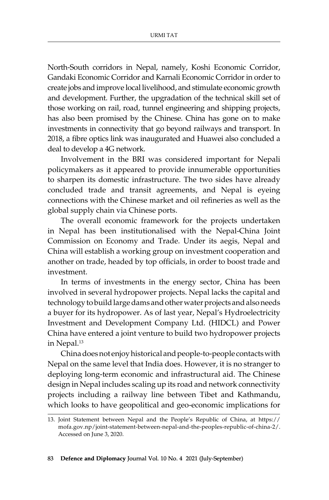North-South corridors in Nepal, namely, Koshi Economic Corridor, Gandaki Economic Corridor and Karnali Economic Corridor in order to create jobs and improve local livelihood, and stimulate economic growth and development. Further, the upgradation of the technical skill set of those working on rail, road, tunnel engineering and shipping projects, has also been promised by the Chinese. China has gone on to make investments in connectivity that go beyond railways and transport. In 2018, a fibre optics link was inaugurated and Huawei also concluded a deal to develop a 4G network.

Involvement in the BRI was considered important for Nepali policymakers as it appeared to provide innumerable opportunities to sharpen its domestic infrastructure. The two sides have already concluded trade and transit agreements, and Nepal is eyeing connections with the Chinese market and oil refineries as well as the global supply chain via Chinese ports.

The overall economic framework for the projects undertaken in Nepal has been institutionalised with the Nepal-China Joint Commission on Economy and Trade. Under its aegis, Nepal and China will establish a working group on investment cooperation and another on trade, headed by top officials, in order to boost trade and investment.

In terms of investments in the energy sector, China has been involved in several hydropower projects. Nepal lacks the capital and technology to build large dams and other water projects and also needs a buyer for its hydropower. As of last year, Nepal's Hydroelectricity Investment and Development Company Ltd. (HIDCL) and Power China have entered a joint venture to build two hydropower projects in Nepal.<sup>13</sup>

China does not enjoy historical and people-to-people contacts with Nepal on the same level that India does. However, it is no stranger to deploying long-term economic and infrastructural aid. The Chinese design in Nepal includes scaling up its road and network connectivity projects including a railway line between Tibet and Kathmandu, which looks to have geopolitical and geo-economic implications for

<sup>13.</sup> Joint Statement between Nepal and the People's Republic of China, at https:// mofa.gov.np/joint-statement-between-nepal-and-the-peoples-republic-of-china-2/. Accessed on June 3, 2020.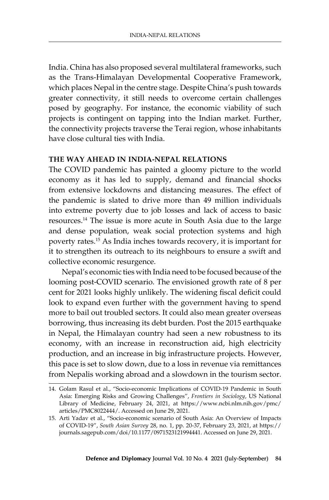India. China has also proposed several multilateral frameworks, such as the Trans-Himalayan Developmental Cooperative Framework, which places Nepal in the centre stage. Despite China's push towards greater connectivity, it still needs to overcome certain challenges posed by geography. For instance, the economic viability of such projects is contingent on tapping into the Indian market. Further, the connectivity projects traverse the Terai region, whose inhabitants have close cultural ties with India.

#### **The Way Ahead in India-Nepal Relations**

The COVID pandemic has painted a gloomy picture to the world economy as it has led to supply, demand and financial shocks from extensive lockdowns and distancing measures. The effect of the pandemic is slated to drive more than 49 million individuals into extreme poverty due to job losses and lack of access to basic resources.14 The issue is more acute in South Asia due to the large and dense population, weak social protection systems and high poverty rates.15 As India inches towards recovery, it is important for it to strengthen its outreach to its neighbours to ensure a swift and collective economic resurgence.

Nepal's economic ties with India need to be focused because of the looming post-COVID scenario. The envisioned growth rate of 8 per cent for 2021 looks highly unlikely. The widening fiscal deficit could look to expand even further with the government having to spend more to bail out troubled sectors. It could also mean greater overseas borrowing, thus increasing its debt burden. Post the 2015 earthquake in Nepal, the Himalayan country had seen a new robustness to its economy, with an increase in reconstruction aid, high electricity production, and an increase in big infrastructure projects. However, this pace is set to slow down, due to a loss in revenue via remittances from Nepalis working abroad and a slowdown in the tourism sector.

<sup>14.</sup> Golam Rasul et al., "Socio-economic Implications of COVID-19 Pandemic in South Asia: Emerging Risks and Growing Challenges", *Frontiers in Sociology*, US National Library of Medicine, February 24, 2021, at https://www.ncbi.nlm.nih.gov/pmc/ articles/PMC8022444/. Accessed on June 29, 2021.

<sup>15.</sup> Arti Yadav et al., "Socio-economic scenario of South Asia: An Overview of Impacts of COVID-19", *South Asian Survey* 28, no. 1, pp. 20-37, February 23, 2021, at https:// journals.sagepub.com/doi/10.1177/0971523121994441. Accessed on June 29, 2021.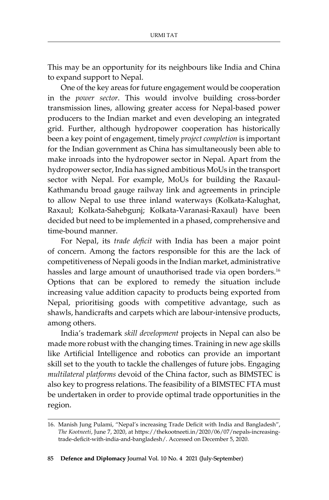This may be an opportunity for its neighbours like India and China to expand support to Nepal.

One of the key areas for future engagement would be cooperation in the *power sector*. This would involve building cross-border transmission lines, allowing greater access for Nepal-based power producers to the Indian market and even developing an integrated grid. Further, although hydropower cooperation has historically been a key point of engagement, timely *project completion* is important for the Indian government as China has simultaneously been able to make inroads into the hydropower sector in Nepal. Apart from the hydropower sector, India has signed ambitious MoUs in the transport sector with Nepal. For example, MoUs for building the Raxaul-Kathmandu broad gauge railway link and agreements in principle to allow Nepal to use three inland waterways (Kolkata-Kalughat, Raxaul; Kolkata-Sahebgunj; Kolkata-Varanasi-Raxaul) have been decided but need to be implemented in a phased, comprehensive and time-bound manner.

For Nepal, its *trade deficit* with India has been a major point of concern. Among the factors responsible for this are the lack of competitiveness of Nepali goods in the Indian market, administrative hassles and large amount of unauthorised trade via open borders.<sup>16</sup> Options that can be explored to remedy the situation include increasing value addition capacity to products being exported from Nepal, prioritising goods with competitive advantage, such as shawls, handicrafts and carpets which are labour-intensive products, among others.

India's trademark *skill development* projects in Nepal can also be made more robust with the changing times. Training in new age skills like Artificial Intelligence and robotics can provide an important skill set to the youth to tackle the challenges of future jobs. Engaging *multilateral platforms* devoid of the China factor, such as BIMSTEC is also key to progress relations. The feasibility of a BIMSTEC FTA must be undertaken in order to provide optimal trade opportunities in the region.

<sup>16.</sup> Manish Jung Pulami, "Nepal's increasing Trade Deficit with India and Bangladesh", *The Kootneeti*, June 7, 2020, at https://thekootneeti.in/2020/06/07/nepals-increasingtrade-deficit-with-india-and-bangladesh/. Accessed on December 5, 2020.